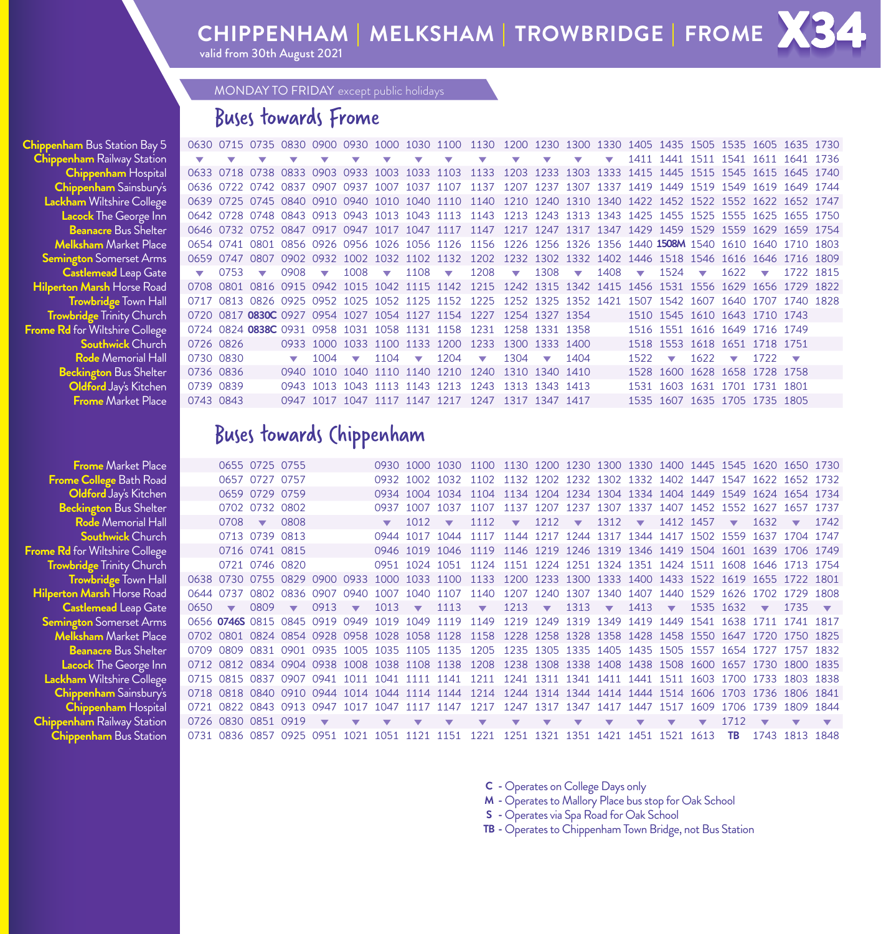# **CHIPPENHAM** | **MELKSHAM** | **TROWBRIDGE** | **FROME**

valid from 30th August 2021

MONDAY TO FRIDAY except public holidays

### Buses towards Frome

**Chippenham** Bus Station Bay 5 **Chippenham** Railway Station Lacock The George Inn **Beanacre** Bus Shelter **Melksham** Market Place<br>**Semington** Somerset Arms **Castlemead** Leap Gate **Hilperton Marsh** Horse Road<br>**Trowbridge** Town Hall **Trowbridge Trinity Church Frome Rd** for Wiltshire College<br>**Southwick** Church

| <b>ppenham</b> Bus Station Bay 5 |           |                          | 0630 0715 0735 0830 0900 0930 1000 1030 1100 1130 1200 1230 1300 1330 1405 1435 1505 1535 1605 1635 1730  |      |                          |                          |                          |                             |                               |                                              |                         |                                  |                         |                         |                         |                                    |      |                          |                         |           |  |
|----------------------------------|-----------|--------------------------|-----------------------------------------------------------------------------------------------------------|------|--------------------------|--------------------------|--------------------------|-----------------------------|-------------------------------|----------------------------------------------|-------------------------|----------------------------------|-------------------------|-------------------------|-------------------------|------------------------------------|------|--------------------------|-------------------------|-----------|--|
| hippenham Railway Station        |           | $\overline{\phantom{a}}$ |                                                                                                           |      |                          |                          | $\overline{\mathbf{v}}$  | $\overline{\mathbf{v}}$     | $\overline{\mathbf{v}}$       | $\mathbf{v}$                                 | $\overline{\mathbf{v}}$ | $\overline{\mathbf{v}}$          | $\overline{\mathbf{v}}$ | $\overline{\mathbf{v}}$ |                         | 1411 1441 1511 1541 1611 1641 1736 |      |                          |                         |           |  |
| Chippenham Hospital              |           |                          | 0633 0718 0738 0833 0903 0933 1003 1033 1103 1133 1203 1233 1303 1333 1415 1445 1515 1545 1615 1645 1740  |      |                          |                          |                          |                             |                               |                                              |                         |                                  |                         |                         |                         |                                    |      |                          |                         |           |  |
| Chippenham Sainsbury's           |           |                          | 0636 0722 0742 0837 0907 0937 1007 1037 1107 1137 1207 1237 1307 1337 1419 1449 1519 1549 1619 1649 1744  |      |                          |                          |                          |                             |                               |                                              |                         |                                  |                         |                         |                         |                                    |      |                          |                         |           |  |
| Lackham Wiltshire College        |           |                          | 0639 0725 0745 0840 0910 0940 1010 1040 1110 1140 1210 1240 1310 1340 1422 1452 1522 1552 1622 1652 1747  |      |                          |                          |                          |                             |                               |                                              |                         |                                  |                         |                         |                         |                                    |      |                          |                         |           |  |
| Lacock The George Inn            |           |                          | 0642 0728 0748 0843 0913 0943 1013 1043 1113 1143 1213 1243 1313 1343 1425 1455 1525 1555 1625 1655 1750  |      |                          |                          |                          |                             |                               |                                              |                         |                                  |                         |                         |                         |                                    |      |                          |                         |           |  |
| <b>Beanacre Bus Shelter</b>      |           |                          | 0646 0732 0752 0847 0917 0947 1017 1047 1117 1147 1217 1247 1317 1347 1429 1459 1529 1559 1629 1659 1754  |      |                          |                          |                          |                             |                               |                                              |                         |                                  |                         |                         |                         |                                    |      |                          |                         |           |  |
| <b>Melksham</b> Market Place     |           |                          | 0654 0741 0801 0856 0926 0956 1026 1056 1126 1156 1226 1256 1326 1356 1440 1508M 1540 1610 1640 1710 1803 |      |                          |                          |                          |                             |                               |                                              |                         |                                  |                         |                         |                         |                                    |      |                          |                         |           |  |
| <b>Semington</b> Somerset Arms   |           |                          | 0659 0747 0807 0902 0932 1002 1032 1102 1132 1202 1232 1302 1332 1402 1446 1518 1546 1616 1646 1716 1809  |      |                          |                          |                          |                             |                               |                                              |                         |                                  |                         |                         |                         |                                    |      |                          |                         |           |  |
| <b>Castlemead Leap Gate</b>      |           | 0753                     | $\overline{\mathbf{v}}$                                                                                   | 0908 | $\overline{\phantom{a}}$ | $1008 \rightarrow$       |                          | $1108$ $\blacktriangledown$ |                               | $1208 -$                                     |                         | $1308 \quad \blacktriangleright$ |                         | 1408                    | $\overline{\mathbf{v}}$ | $1524 \quad \blacktriangledown$    |      | 1622                     | $\overline{\mathbf{v}}$ | 1722 1815 |  |
| ilperton Marsh Horse Road        |           |                          | 0708 0801 0816 0915 0942 1015 1042 1115 1142 1215 1242 1315 1342 1415 1456 1531 1556 1629 1656 1729 1822  |      |                          |                          |                          |                             |                               |                                              |                         |                                  |                         |                         |                         |                                    |      |                          |                         |           |  |
| <b>Trowbridge Town Hall</b>      |           |                          | 0717 0813 0826 0925 0952 1025 1052 1125 1152 1225 1252 1325 1352 1421 1507 1542 1607 1640 1707 1740 1828  |      |                          |                          |                          |                             |                               |                                              |                         |                                  |                         |                         |                         |                                    |      |                          |                         |           |  |
| <b>Trowbridge Trinity Church</b> |           |                          | 0720 0817 <b>0830C</b> 0927 0954 1027 1054 1127 1154 1227 1254 1327 1354                                  |      |                          |                          |                          |                             |                               |                                              |                         |                                  |                         |                         |                         | 1510 1545 1610 1643 1710 1743      |      |                          |                         |           |  |
| me Rd for Wiltshire College      |           |                          | 0724 0824 0838C 0931 0958 1031 1058 1131 1158                                                             |      |                          |                          |                          |                             |                               | 1231 1258 1331 1358                          |                         |                                  |                         |                         |                         | 1516 1551 1616 1649 1716 1749      |      |                          |                         |           |  |
| <b>Southwick Church</b>          | 0726 0826 |                          |                                                                                                           | 0933 |                          |                          | 1000 1033 1100 1133 1200 |                             |                               | 1233 1300 1333 1400                          |                         |                                  |                         |                         |                         | 1518 1553 1618 1651 1718 1751      |      |                          |                         |           |  |
| <b>Rode</b> Memorial Hall        | 0730 0830 |                          |                                                                                                           |      | 1004                     | $\overline{\phantom{0}}$ | 1104                     | $\overline{\phantom{a}}$    | 1204                          | $\overline{\phantom{a}}$                     | 1304                    |                                  | 1404                    |                         | 1522                    | $\overline{\phantom{a}}$           | 1622 | $\overline{\phantom{a}}$ | 1722                    |           |  |
| Beckington Bus Shelter           | 0736 0836 |                          |                                                                                                           | 0940 |                          |                          |                          |                             | 1010 1040 1110 1140 1210 1240 |                                              |                         | 1310 1340 1410                   |                         |                         |                         | 1528 1600 1628 1658 1728 1758      |      |                          |                         |           |  |
| Oldford Jay's Kitchen            | 0739 0839 |                          |                                                                                                           | 0943 |                          |                          | 1013 1043 1113 1143 1213 |                             |                               | 1243 1313 1343 1413                          |                         |                                  |                         |                         | 1531                    | 1603 1631 1701 1731 1801           |      |                          |                         |           |  |
| <b>Frome</b> Market Place        | 0743 0843 |                          |                                                                                                           |      |                          |                          |                          |                             |                               | 0947 1017 1047 1117 1147 1217 1247 1317 1347 |                         |                                  | 1417                    |                         |                         | 1535 1607 1635 1705 1735 1805      |      |                          |                         |           |  |

### Buses towards Chippenham

**Frome Market Place** 0655 0725 0755 0930 1000 1030 1100 1130 1200 1230 1300 1330 1400 1445 1545 1620 1650 1730 **Frome College Bath Road** 0657 0727 0757 0932 1002 1032 1102 1132 1202 1232 1302 1332 1402 1447 1547 1622 1652 **FromeCollege** Bath Road 0657 0727 0757 0932 1002 1032 1102 1132 1202 1232 1302 1332 1402 1447 1547 1622 1652 1732 **Oldford** Jay's Kitchen 0659 0729 0759 0934 1004 1034 1104 1134 1204 1234 1304 1334 1404 1449 1549 1624 1654 1734 **Beckington** Bus Shelter 0702 0732 0802 0937 1007 1037 1107 1137 1207 1237 1307 1337 1407 1452 1552 1627 1657 1737 **Rode Memorial Hall 1** 0708 ▼ 0808 1012 ▼ 1112 ▼ 1212 ▼ 1312 ▼ 1412 1457 ▼ 1632 ▼ 1742 **Southwick** Church 0713 0739 0813 0944 1017 1044 1117 1144 1217 1244 1317 1344 1417 1502 1559 1637 1704 1747 **Frome Rd** for Wiltshire College 0716 0741 0815 0946 1019 1046 1119 1146 1219 1246 1319 1346 1419 1504 1601 1639 1706 1749 1746 1749 1754 0721 0746 0820 0951 1024 1051 1124 1151 1224 1251 1324 1351 1424 1511 1608 1646 1713 **Trowbridge** Trinity Church 0721 0746 0820 0951 1024 1051 1124 1151 1224 1251 1324 1351 1424 1511 1608 1646 1713 1754 **Trowbridge** Town Hall 0638 0730 0755 0829 0900 0933 1000 1033 1100 1133 1200 1233 1300 1333 1400 1433 1522 1619 1655 1722 1801 0644 0737 0802 0836 0907 0940 1007 1040 1107 1140 1207 1240 1307 1340 1407 1440 1529 1626 1702 1729 1808<br>0650 **▼** 0809 ▼ 0913 ▼ 1013 ▼ 1113 ▼ 1213 ▼ 1313 ▼ 1413 ▼ 1535 1632 ▼ 1735 ▼ **Castlemead Leap Gate** 0650 **v** 0809 **v** 0913 **v** 1013 **v** 1113 **v** 1213 **v** 1313 **v** 1413 **v** 1535 1632 **v** 1735 1632 1713 5 1632 1711 1741  $\sim$ **Semington** SomersetArms 0656 **0746S** 0815 0845 0919 0949 1019 1049 1119 1149 1219 1249 1319 1349 1419 1449 1541 1638 1711 1741 1817 **Melksham** Market Place 0702 0801 0824 0854 0928 0958 1028 1058 1128 1158 1228 1258 1328 1358 1428 1458 1550 1647 1720 1750 1825 Beanacre Bus Shelter 0709 0809 0831 0901 0935 1005 1035 1105 1135 1205 1235 1305 1335 1405 1435 1505 1557 1654 1727 1757 1832<br>Lacock The George Inn 0712 0812 0834 0904 0938 1008 1038 1108 1138 1208 1238 1308 1338 1408 1438 **Lacock** The George Inn 0712 0812 0834 0904 0938 1008 1038 1108 1138 1208 1238 1308 1338 1408 1438 1508 1600 1657 1730 1800 1835 **Lackham Wiltshire College 0715 0815 0837 0907 0941 1011 1041 1111 1141 1211 1241 1311 1341 1411 1441 1511 1603 1700 1733 1803 1838<br><b>Chippenham Sainsbury's** 0718 0818 0840 0910 0944 1014 1044 1114 1144 1214 1244 1314 1344 **Chippenham** Sainsbury's 0718 0818 0840 0910 0944 1014 1044 1114 1144 1214 1244 1314 1344 1414 1444 1514 1606 1703 1736 1806 1841 **Chippenham** Hospital 0721 0822 0843 0913 0947 1017 1047 1117 1147 1217 1247 1317 1347 1417 1447 1517 1609 1706 1739 1809 1844 **Chippenham** Railway Station 0726 0830 0851 0919 1712  $\overline{\mathbf{v}}$ 0731 0836 0857 0925 0951 1021 1051 1121 1151 1221 1251 1321 1351 1421 1451 1521 1613

**C -** Operates on College Days only

**M -** Operates to Mallory Place bus stop for Oak School

**S -** Operates via Spa Road for Oak School

**TB -** Operates to Chippenham Town Bridge, not Bus Station